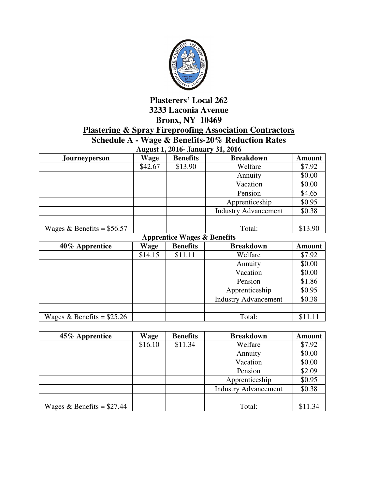

## **Plasterers' Local 262 3233 Laconia Avenue Bronx, NY 10469 Plastering & Spray Fireproofing Association Contractors Schedule A - Wage & Benefits-20% Reduction Rates**

| <b>August 1, 2016- January 31, 2016</b> |             |                 |                             |               |  |
|-----------------------------------------|-------------|-----------------|-----------------------------|---------------|--|
| Journeyperson                           | <b>Wage</b> | <b>Benefits</b> | <b>Breakdown</b>            | <b>Amount</b> |  |
|                                         | \$42.67     | \$13.90         | Welfare                     | \$7.92        |  |
|                                         |             |                 | Annuity                     | \$0.00        |  |
|                                         |             |                 | Vacation                    | \$0.00        |  |
|                                         |             |                 | Pension                     | \$4.65        |  |
|                                         |             |                 | Apprenticeship              | \$0.95        |  |
|                                         |             |                 | <b>Industry Advancement</b> | \$0.38        |  |
|                                         |             |                 |                             |               |  |
| Wages & Benefits = $$56.57$             |             |                 | Total:                      | \$13.90       |  |

**Apprentice Wages & Benefits** 

| 40% Apprentice              | Wage    | <b>Benefits</b> | <b>Breakdown</b>            | <b>Amount</b> |
|-----------------------------|---------|-----------------|-----------------------------|---------------|
|                             | \$14.15 | \$11.11         | Welfare                     | \$7.92        |
|                             |         |                 | Annuity                     | \$0.00        |
|                             |         |                 | Vacation                    | \$0.00        |
|                             |         |                 | Pension                     | \$1.86        |
|                             |         |                 | Apprenticeship              | \$0.95        |
|                             |         |                 | <b>Industry Advancement</b> | \$0.38        |
|                             |         |                 |                             |               |
| Wages & Benefits = $$25.26$ |         |                 | Total:                      | \$11.11       |

| 45% Apprentice              | <b>Wage</b> | <b>Benefits</b> | <b>Breakdown</b>            | <b>Amount</b> |
|-----------------------------|-------------|-----------------|-----------------------------|---------------|
|                             | \$16.10     | \$11.34         | Welfare                     | \$7.92        |
|                             |             |                 | Annuity                     | \$0.00        |
|                             |             |                 | Vacation                    | \$0.00        |
|                             |             |                 | Pension                     | \$2.09        |
|                             |             |                 | Apprenticeship              | \$0.95        |
|                             |             |                 | <b>Industry Advancement</b> | \$0.38        |
|                             |             |                 |                             |               |
| Wages & Benefits = $$27.44$ |             |                 | Total:                      | \$11.34       |